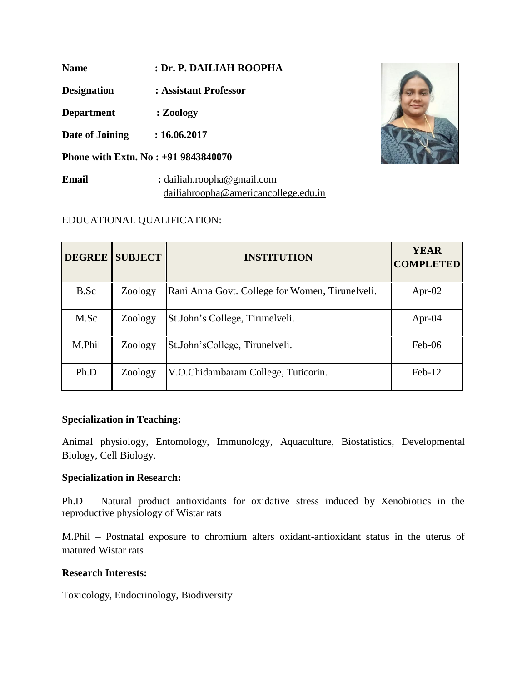**Name : Dr. P. DAILIAH ROOPHA**

**Designation : Assistant Professor**

**Department : Zoology**

**Date of Joining : 16.06.2017**

**Phone with Extn. No : +91 9843840070**

**Email :** [dailiah.roopha@gmail.com](mailto:dailiah.roopha@gmail.com) dailiahroopha@americancollege.edu.in



# EDUCATIONAL QUALIFICATION:

|        | <b>DEGREE SUBJECT</b> | <b>INSTITUTION</b>                              | <b>YEAR</b><br><b>COMPLETED</b> |
|--------|-----------------------|-------------------------------------------------|---------------------------------|
| B.Sc   | Zoology               | Rani Anna Govt. College for Women, Tirunelveli. | Apr-02                          |
| M.Sc   | Zoology               | St. John's College, Tirunelveli.                | Apr- $04$                       |
| M.Phil | Zoology               | St.John'sCollege, Tirunelveli.                  | $Feb-06$                        |
| Ph.D   | Zoology               | V.O.Chidambaram College, Tuticorin.             | $Feb-12$                        |

## **Specialization in Teaching:**

Animal physiology, Entomology, Immunology, Aquaculture, Biostatistics, Developmental Biology, Cell Biology.

## **Specialization in Research:**

Ph.D – Natural product antioxidants for oxidative stress induced by Xenobiotics in the reproductive physiology of Wistar rats

M.Phil – Postnatal exposure to chromium alters oxidant-antioxidant status in the uterus of matured Wistar rats

## **Research Interests:**

Toxicology, Endocrinology, Biodiversity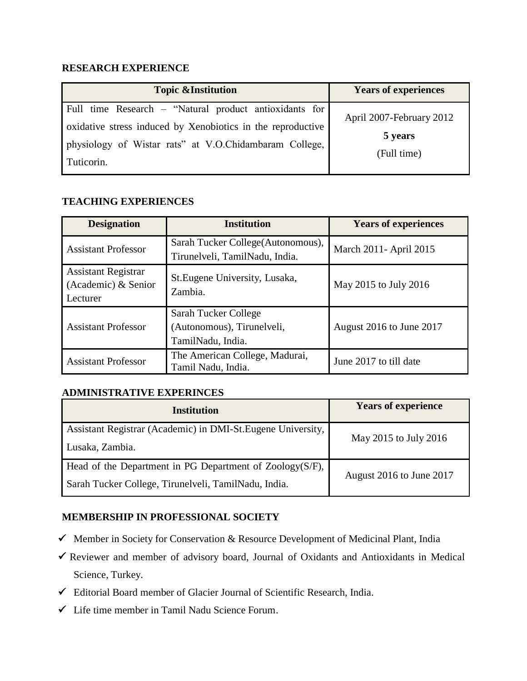## **RESEARCH EXPERIENCE**

| <b>Topic &amp;Institution</b>                                                                                                                                                                 | <b>Years of experiences</b>                        |
|-----------------------------------------------------------------------------------------------------------------------------------------------------------------------------------------------|----------------------------------------------------|
| Full time Research – "Natural product antioxidants for<br>oxidative stress induced by Xenobiotics in the reproductive<br>physiology of Wistar rats" at V.O.Chidambaram College,<br>Tuticorin. | April 2007-February 2012<br>5 years<br>(Full time) |

### **TEACHING EXPERIENCES**

| <b>Designation</b>                                            | <b>Institution</b>                                                      | <b>Years of experiences</b> |
|---------------------------------------------------------------|-------------------------------------------------------------------------|-----------------------------|
| <b>Assistant Professor</b>                                    | Sarah Tucker College (Autonomous),<br>Tirunelveli, TamilNadu, India.    | March 2011 - April 2015     |
| <b>Assistant Registrar</b><br>(Academic) & Senior<br>Lecturer | St. Eugene University, Lusaka,<br>Zambia.                               | May 2015 to July 2016       |
| <b>Assistant Professor</b>                                    | Sarah Tucker College<br>(Autonomous), Tirunelveli,<br>TamilNadu, India. | August 2016 to June 2017    |
| <b>Assistant Professor</b>                                    | The American College, Madurai,<br>Tamil Nadu, India.                    | June 2017 to till date      |

## **ADMINISTRATIVE EXPERINCES**

| <b>Institution</b>                                                                                               | <b>Years of experience</b> |
|------------------------------------------------------------------------------------------------------------------|----------------------------|
| Assistant Registrar (Academic) in DMI-St. Eugene University,<br>Lusaka, Zambia.                                  | May 2015 to July 2016      |
| Head of the Department in PG Department of Zoology(S/F),<br>Sarah Tucker College, Tirunelveli, TamilNadu, India. | August 2016 to June 2017   |

## **MEMBERSHIP IN PROFESSIONAL SOCIETY**

- $\checkmark$  Member in Society for Conservation & Resource Development of Medicinal Plant, India
- $\checkmark$  Reviewer and member of advisory board, Journal of Oxidants and Antioxidants in Medical Science, Turkey.
- Editorial Board member of Glacier Journal of Scientific Research, India.
- $\checkmark$  Life time member in Tamil Nadu Science Forum.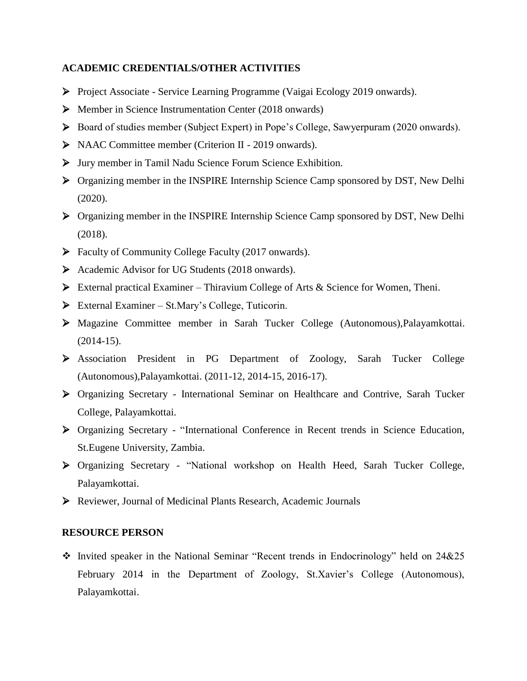#### **ACADEMIC CREDENTIALS/OTHER ACTIVITIES**

- Project Associate Service Learning Programme (Vaigai Ecology 2019 onwards).
- $\triangleright$  Member in Science Instrumentation Center (2018 onwards)
- Board of studies member (Subject Expert) in Pope"s College, Sawyerpuram (2020 onwards).
- NAAC Committee member (Criterion II 2019 onwards).
- Jury member in Tamil Nadu Science Forum Science Exhibition.
- Organizing member in the INSPIRE Internship Science Camp sponsored by DST, New Delhi (2020).
- Organizing member in the INSPIRE Internship Science Camp sponsored by DST, New Delhi (2018).
- Faculty of Community College Faculty (2017 onwards).
- Academic Advisor for UG Students (2018 onwards).
- External practical Examiner Thiravium College of Arts & Science for Women, Theni.
- $\triangleright$  External Examiner St.Mary's College, Tuticorin.
- Magazine Committee member in Sarah Tucker College (Autonomous),Palayamkottai. (2014-15).
- Association President in PG Department of Zoology, Sarah Tucker College (Autonomous),Palayamkottai. (2011-12, 2014-15, 2016-17).
- Organizing Secretary International Seminar on Healthcare and Contrive, Sarah Tucker College, Palayamkottai.
- Organizing Secretary "International Conference in Recent trends in Science Education, St.Eugene University, Zambia.
- Organizing Secretary "National workshop on Health Heed, Sarah Tucker College, Palayamkottai.
- Reviewer, Journal of Medicinal Plants Research, Academic Journals

#### **RESOURCE PERSON**

 Invited speaker in the National Seminar "Recent trends in Endocrinology" held on 24&25 February 2014 in the Department of Zoology, St.Xavier's College (Autonomous), Palayamkottai.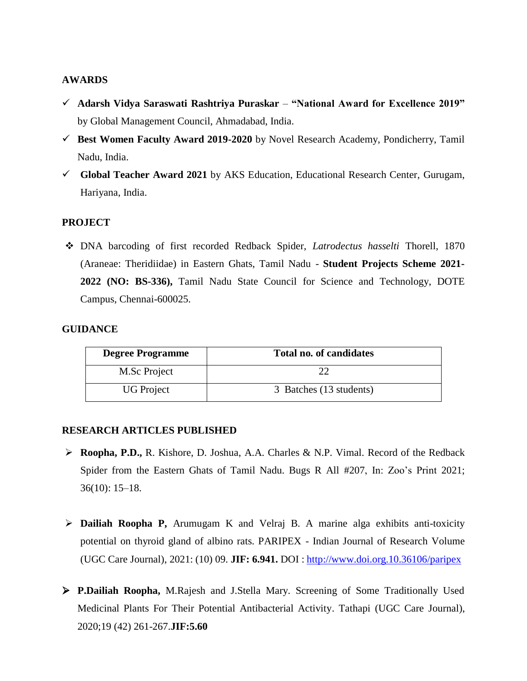#### **AWARDS**

- **Adarsh Vidya Saraswati Rashtriya Puraskar "National Award for Excellence 2019"** by Global Management Council, Ahmadabad, India.
- **Best Women Faculty Award 2019-2020** by Novel Research Academy, Pondicherry, Tamil Nadu, India.
- **Global Teacher Award 2021** by AKS Education, Educational Research Center, Gurugam, Hariyana, India.

## **PROJECT**

 DNA barcoding of first recorded Redback Spider, *Latrodectus hasselti* Thorell, 1870 (Araneae: Theridiidae) in Eastern Ghats, Tamil Nadu - **Student Projects Scheme 2021- 2022 (NO: BS-336),** Tamil Nadu State Council for Science and Technology, DOTE Campus, Chennai-600025.

#### **GUIDANCE**

| <b>Degree Programme</b> | <b>Total no. of candidates</b> |
|-------------------------|--------------------------------|
| M.Sc Project            |                                |
| <b>UG</b> Project       | 3 Batches (13 students)        |

#### **RESEARCH ARTICLES PUBLISHED**

- **Roopha, P.D.,** R. Kishore, D. Joshua, A.A. Charles & N.P. Vimal. Record of the Redback Spider from the Eastern Ghats of Tamil Nadu. Bugs R All #207, In: Zoo's Print 2021; 36(10): 15–18.
- **Dailiah Roopha P,** Arumugam K and Velraj B. A marine alga exhibits anti-toxicity potential on thyroid gland of albino rats. PARIPEX - Indian Journal of Research Volume (UGC Care Journal), 2021: (10) 09. **JIF: 6.941.** DOI :<http://www.doi.org.10.36106/paripex>
- **P.Dailiah Roopha,** M.Rajesh and J.Stella Mary. Screening of Some Traditionally Used Medicinal Plants For Their Potential Antibacterial Activity. Tathapi (UGC Care Journal), 2020;19 (42) 261-267.**JIF:5.60**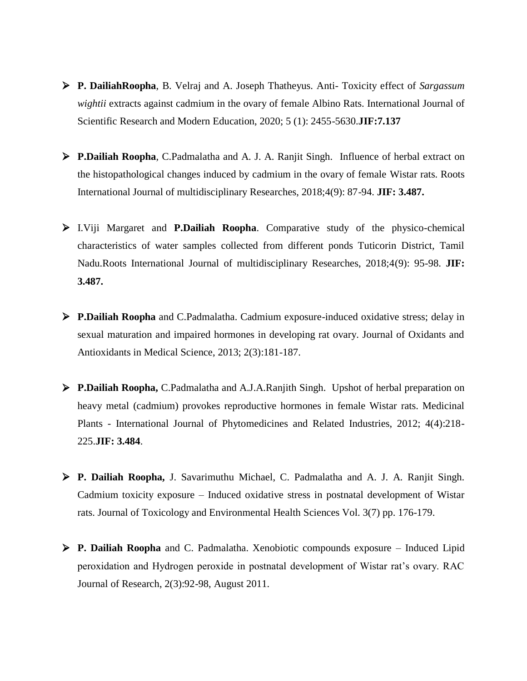- **P. DailiahRoopha**, B. Velraj and A. Joseph Thatheyus. Anti- Toxicity effect of *Sargassum wightii* extracts against cadmium in the ovary of female Albino Rats. International Journal of Scientific Research and Modern Education, 2020; 5 (1): 2455-5630.**JIF:7.137**
- **P.Dailiah Roopha**, C.Padmalatha and A. J. A. Ranjit Singh. Influence of herbal extract on the histopathological changes induced by cadmium in the ovary of female Wistar rats. Roots International Journal of multidisciplinary Researches, 2018;4(9): 87-94. **JIF: 3.487.**
- I.Viji Margaret and **P.Dailiah Roopha**. Comparative study of the physico-chemical characteristics of water samples collected from different ponds Tuticorin District, Tamil Nadu.Roots International Journal of multidisciplinary Researches, 2018;4(9): 95-98. **JIF: 3.487.**
- **P.Dailiah Roopha** and C.Padmalatha. Cadmium exposure-induced oxidative stress; delay in sexual maturation and impaired hormones in developing rat ovary. Journal of Oxidants and Antioxidants in Medical Science, 2013; 2(3):181-187.
- **P.Dailiah Roopha,** C.Padmalatha and A.J.A.Ranjith Singh. Upshot of herbal preparation on heavy metal (cadmium) provokes reproductive hormones in female Wistar rats. Medicinal Plants - International Journal of Phytomedicines and Related Industries, 2012; 4(4):218- 225.**JIF: 3.484**.
- **P. Dailiah Roopha,** J. Savarimuthu Michael, C. Padmalatha and A. J. A. Ranjit Singh. Cadmium toxicity exposure – Induced oxidative stress in postnatal development of Wistar rats. Journal of Toxicology and Environmental Health Sciences Vol. 3(7) pp. 176-179.
- **P. Dailiah Roopha** and C. Padmalatha. Xenobiotic compounds exposure Induced Lipid peroxidation and Hydrogen peroxide in postnatal development of Wistar rat"s ovary. RAC Journal of Research, 2(3):92-98, August 2011.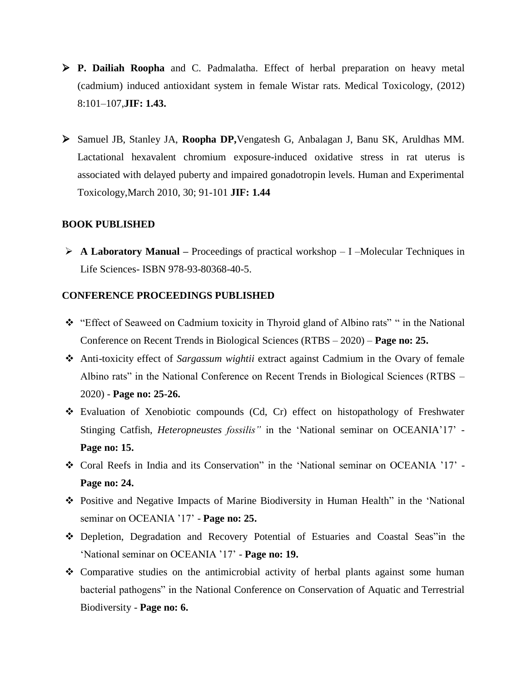- **P. Dailiah Roopha** and C. Padmalatha. Effect of herbal preparation on heavy metal (cadmium) induced antioxidant system in female Wistar rats. Medical Toxicology, (2012) 8:101–107,**JIF: 1.43.**
- Samuel JB, Stanley JA, **Roopha DP,**Vengatesh G, Anbalagan J, Banu SK, Aruldhas MM. Lactational hexavalent chromium exposure-induced oxidative stress in rat uterus is associated with delayed puberty and impaired gonadotropin levels. Human and Experimental Toxicology,March 2010, 30; 91-101 **JIF: 1.44**

#### **BOOK PUBLISHED**

 **A Laboratory Manual –** Proceedings of practical workshop – I –Molecular Techniques in Life Sciences- ISBN 978-93-80368-40-5.

#### **CONFERENCE PROCEEDINGS PUBLISHED**

- "Effect of Seaweed on Cadmium toxicity in Thyroid gland of Albino rats" " in the National Conference on Recent Trends in Biological Sciences (RTBS – 2020) – **Page no: 25.**
- Anti-toxicity effect of *Sargassum wightii* extract against Cadmium in the Ovary of female Albino rats" in the National Conference on Recent Trends in Biological Sciences (RTBS – 2020) - **Page no: 25-26.**
- Evaluation of Xenobiotic compounds (Cd, Cr) effect on histopathology of Freshwater Stinging Catfish, *Heteropneustes fossilis"* in the "National seminar on OCEANIA"17" - **Page no: 15.**
- $\div$  Coral Reefs in India and its Conservation" in the 'National seminar on OCEANIA '17' -**Page no: 24.**
- Positive and Negative Impacts of Marine Biodiversity in Human Health" in the "National seminar on OCEANIA "17" - **Page no: 25.**
- Depletion, Degradation and Recovery Potential of Estuaries and Coastal Seas"in the "National seminar on OCEANIA "17" - **Page no: 19.**
- $\triangle$  Comparative studies on the antimicrobial activity of herbal plants against some human bacterial pathogens" in the National Conference on Conservation of Aquatic and Terrestrial Biodiversity - **Page no: 6.**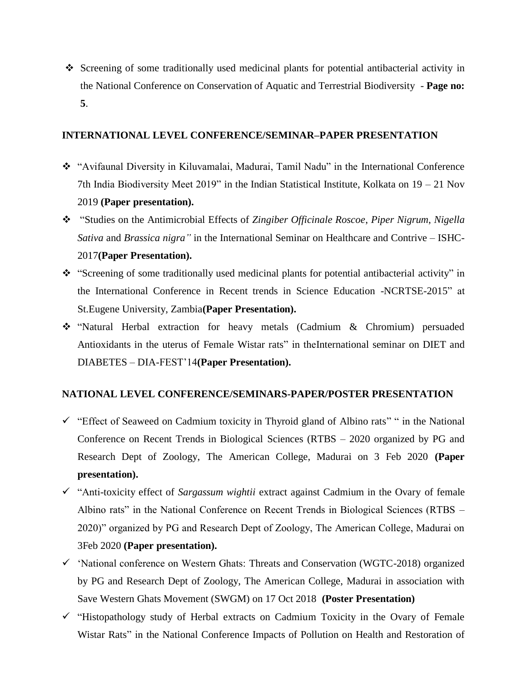Screening of some traditionally used medicinal plants for potential antibacterial activity in the National Conference on Conservation of Aquatic and Terrestrial Biodiversity - **Page no: 5**.

### **INTERNATIONAL LEVEL CONFERENCE/SEMINAR–PAPER PRESENTATION**

- "Avifaunal Diversity in Kiluvamalai, Madurai, Tamil Nadu" in the International Conference 7th India Biodiversity Meet 2019" in the Indian Statistical Institute, Kolkata on  $19 - 21$  Nov 2019 **(Paper presentation).**
- "Studies on the Antimicrobial Effects of *Zingiber Officinale Roscoe*, *Piper Nigrum*, *Nigella Sativa* and *Brassica nigra"* in the International Seminar on Healthcare and Contrive – ISHC-2017**(Paper Presentation).**
- \* "Screening of some traditionally used medicinal plants for potential antibacterial activity" in the International Conference in Recent trends in Science Education -NCRTSE-2015" at St.Eugene University, Zambia**(Paper Presentation).**
- "Natural Herbal extraction for heavy metals (Cadmium & Chromium) persuaded Antioxidants in the uterus of Female Wistar rats" in theInternational seminar on DIET and DIABETES – DIA-FEST"14**(Paper Presentation).**

## **NATIONAL LEVEL CONFERENCE/SEMINARS-PAPER/POSTER PRESENTATION**

- $\checkmark$  "Effect of Seaweed on Cadmium toxicity in Thyroid gland of Albino rats" " in the National Conference on Recent Trends in Biological Sciences (RTBS – 2020 organized by PG and Research Dept of Zoology, The American College, Madurai on 3 Feb 2020 **(Paper presentation).**
- "Anti-toxicity effect of *Sargassum wightii* extract against Cadmium in the Ovary of female Albino rats" in the National Conference on Recent Trends in Biological Sciences (RTBS – 2020)" organized by PG and Research Dept of Zoology, The American College, Madurai on 3Feb 2020 **(Paper presentation).**
- $\checkmark$  'National conference on Western Ghats: Threats and Conservation (WGTC-2018) organized by PG and Research Dept of Zoology, The American College, Madurai in association with Save Western Ghats Movement (SWGM) on 17 Oct 2018 **(Poster Presentation)**
- $\checkmark$  "Histopathology study of Herbal extracts on Cadmium Toxicity in the Ovary of Female Wistar Rats" in the National Conference Impacts of Pollution on Health and Restoration of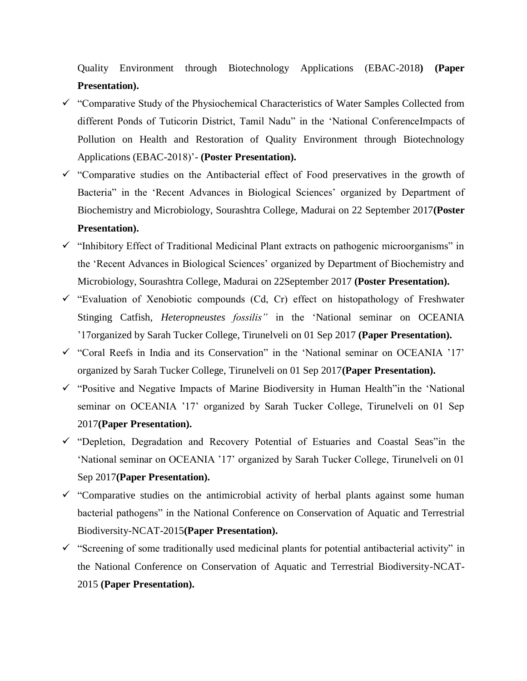Quality Environment through Biotechnology Applications (EBAC-2018**) (Paper Presentation).**

- "Comparative Study of the Physiochemical Characteristics of Water Samples Collected from different Ponds of Tuticorin District, Tamil Nadu" in the "National ConferenceImpacts of Pollution on Health and Restoration of Quality Environment through Biotechnology Applications (EBAC-2018)"- **(Poster Presentation).**
- $\checkmark$  "Comparative studies on the Antibacterial effect of Food preservatives in the growth of Bacteria" in the 'Recent Advances in Biological Sciences' organized by Department of Biochemistry and Microbiology, Sourashtra College, Madurai on 22 September 2017**(Poster Presentation).**
- $\checkmark$  "Inhibitory Effect of Traditional Medicinal Plant extracts on pathogenic microorganisms" in the "Recent Advances in Biological Sciences" organized by Department of Biochemistry and Microbiology, Sourashtra College, Madurai on 22September 2017 **(Poster Presentation).**
- $\checkmark$  "Evaluation of Xenobiotic compounds (Cd, Cr) effect on histopathology of Freshwater Stinging Catfish, *Heteropneustes fossilis"* in the "National seminar on OCEANIA "17organized by Sarah Tucker College, Tirunelveli on 01 Sep 2017 **(Paper Presentation).**
- $\checkmark$  "Coral Reefs in India and its Conservation" in the 'National seminar on OCEANIA '17' organized by Sarah Tucker College, Tirunelveli on 01 Sep 2017**(Paper Presentation).**
- $\checkmark$  "Positive and Negative Impacts of Marine Biodiversity in Human Health" in the 'National seminar on OCEANIA "17" organized by Sarah Tucker College, Tirunelveli on 01 Sep 2017**(Paper Presentation).**
- $\checkmark$  "Depletion, Degradation and Recovery Potential of Estuaries and Coastal Seas" in the "National seminar on OCEANIA "17" organized by Sarah Tucker College, Tirunelveli on 01 Sep 2017**(Paper Presentation).**
- $\checkmark$  "Comparative studies on the antimicrobial activity of herbal plants against some human bacterial pathogens" in the National Conference on Conservation of Aquatic and Terrestrial Biodiversity-NCAT-2015**(Paper Presentation).**
- $\checkmark$  "Screening of some traditionally used medicinal plants for potential antibacterial activity" in the National Conference on Conservation of Aquatic and Terrestrial Biodiversity-NCAT-2015 **(Paper Presentation).**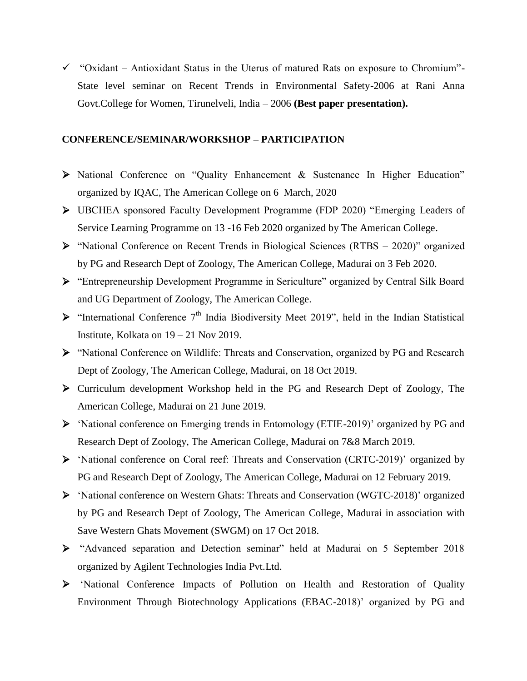$\checkmark$  "Oxidant – Antioxidant Status in the Uterus of matured Rats on exposure to Chromium"-State level seminar on Recent Trends in Environmental Safety-2006 at Rani Anna Govt.College for Women, Tirunelveli, India – 2006 **(Best paper presentation).**

#### **CONFERENCE/SEMINAR/WORKSHOP – PARTICIPATION**

- National Conference on "Quality Enhancement & Sustenance In Higher Education" organized by IQAC, The American College on 6 March, 2020
- UBCHEA sponsored Faculty Development Programme (FDP 2020) "Emerging Leaders of Service Learning Programme on 13 -16 Feb 2020 organized by The American College.
- "National Conference on Recent Trends in Biological Sciences (RTBS 2020)" organized by PG and Research Dept of Zoology, The American College, Madurai on 3 Feb 2020.
- "Entrepreneurship Development Programme in Sericulture" organized by Central Silk Board and UG Department of Zoology, The American College.
- $\triangleright$  "International Conference 7<sup>th</sup> India Biodiversity Meet 2019", held in the Indian Statistical Institute, Kolkata on 19 – 21 Nov 2019.
- "National Conference on Wildlife: Threats and Conservation, organized by PG and Research Dept of Zoology, The American College, Madurai, on 18 Oct 2019.
- Curriculum development Workshop held in the PG and Research Dept of Zoology, The American College, Madurai on 21 June 2019.
- "National conference on Emerging trends in Entomology (ETIE-2019)" organized by PG and Research Dept of Zoology, The American College, Madurai on 7&8 March 2019.
- > 'National conference on Coral reef: Threats and Conservation (CRTC-2019)' organized by PG and Research Dept of Zoology, The American College, Madurai on 12 February 2019.
- > 'National conference on Western Ghats: Threats and Conservation (WGTC-2018)' organized by PG and Research Dept of Zoology, The American College, Madurai in association with Save Western Ghats Movement (SWGM) on 17 Oct 2018.
- "Advanced separation and Detection seminar" held at Madurai on 5 September 2018 organized by Agilent Technologies India Pvt.Ltd.
- > 'National Conference Impacts of Pollution on Health and Restoration of Quality Environment Through Biotechnology Applications (EBAC-2018)" organized by PG and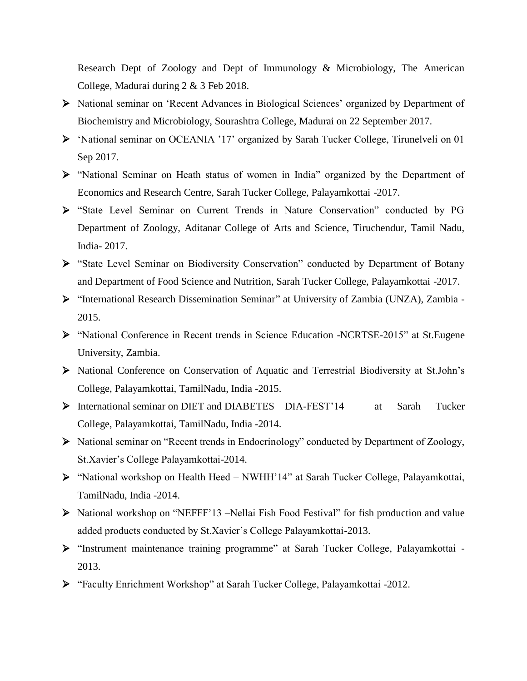Research Dept of Zoology and Dept of Immunology & Microbiology, The American College, Madurai during 2 & 3 Feb 2018.

- National seminar on "Recent Advances in Biological Sciences" organized by Department of Biochemistry and Microbiology, Sourashtra College, Madurai on 22 September 2017.
- > 'National seminar on OCEANIA '17' organized by Sarah Tucker College, Tirunelveli on 01 Sep 2017.
- "National Seminar on Heath status of women in India" organized by the Department of Economics and Research Centre, Sarah Tucker College, Palayamkottai -2017.
- "State Level Seminar on Current Trends in Nature Conservation" conducted by PG Department of Zoology, Aditanar College of Arts and Science, Tiruchendur, Tamil Nadu, India- 2017.
- "State Level Seminar on Biodiversity Conservation" conducted by Department of Botany and Department of Food Science and Nutrition, Sarah Tucker College, Palayamkottai -2017.
- "International Research Dissemination Seminar" at University of Zambia (UNZA), Zambia 2015.
- "National Conference in Recent trends in Science Education -NCRTSE-2015" at St.Eugene University, Zambia.
- National Conference on Conservation of Aquatic and Terrestrial Biodiversity at St.John"s College, Palayamkottai, TamilNadu, India -2015.
- > International seminar on DIET and DIABETES DIA-FEST'14 at Sarah Tucker College, Palayamkottai, TamilNadu, India -2014.
- National seminar on "Recent trends in Endocrinology" conducted by Department of Zoology, St.Xavier"s College Palayamkottai-2014.
- "National workshop on Health Heed NWHH"14" at Sarah Tucker College, Palayamkottai, TamilNadu, India -2014.
- National workshop on "NEFFF"13 –Nellai Fish Food Festival" for fish production and value added products conducted by St.Xavier's College Palayamkottai-2013.
- "Instrument maintenance training programme" at Sarah Tucker College, Palayamkottai 2013.
- "Faculty Enrichment Workshop" at Sarah Tucker College, Palayamkottai -2012.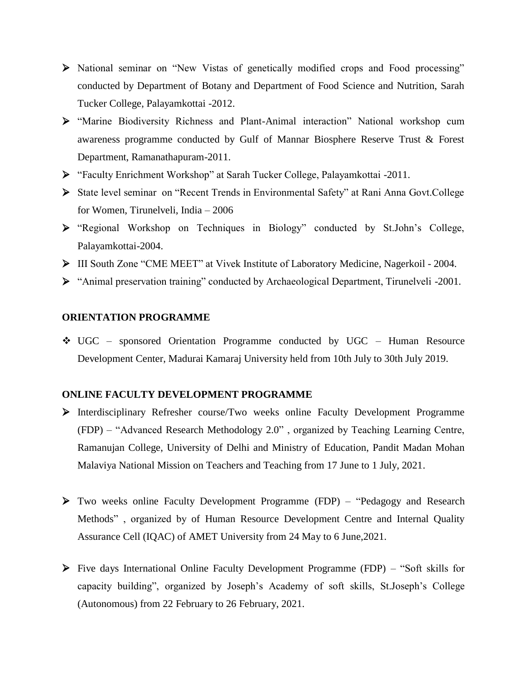- National seminar on "New Vistas of genetically modified crops and Food processing" conducted by Department of Botany and Department of Food Science and Nutrition, Sarah Tucker College, Palayamkottai -2012.
- "Marine Biodiversity Richness and Plant-Animal interaction" National workshop cum awareness programme conducted by Gulf of Mannar Biosphere Reserve Trust & Forest Department, Ramanathapuram-2011.
- "Faculty Enrichment Workshop" at Sarah Tucker College, Palayamkottai -2011.
- State level seminar on "Recent Trends in Environmental Safety" at Rani Anna Govt.College for Women, Tirunelveli, India – 2006
- "Regional Workshop on Techniques in Biology" conducted by St.John"s College, Palayamkottai-2004.
- ΙΙΙ South Zone "CME MEET" at Vivek Institute of Laboratory Medicine, Nagerkoil 2004.
- "Animal preservation training" conducted by Archaeological Department, Tirunelveli -2001.

### **ORIENTATION PROGRAMME**

 UGC – sponsored Orientation Programme conducted by UGC – Human Resource Development Center, Madurai Kamaraj University held from 10th July to 30th July 2019.

## **ONLINE FACULTY DEVELOPMENT PROGRAMME**

- Interdisciplinary Refresher course/Two weeks online Faculty Development Programme (FDP) – "Advanced Research Methodology 2.0" , organized by Teaching Learning Centre, Ramanujan College, University of Delhi and Ministry of Education, Pandit Madan Mohan Malaviya National Mission on Teachers and Teaching from 17 June to 1 July, 2021.
- Two weeks online Faculty Development Programme (FDP) "Pedagogy and Research Methods" , organized by of Human Resource Development Centre and Internal Quality Assurance Cell (IQAC) of AMET University from 24 May to 6 June,2021.
- Five days International Online Faculty Development Programme (FDP) "Soft skills for capacity building", organized by Joseph"s Academy of soft skills, St.Joseph"s College (Autonomous) from 22 February to 26 February, 2021.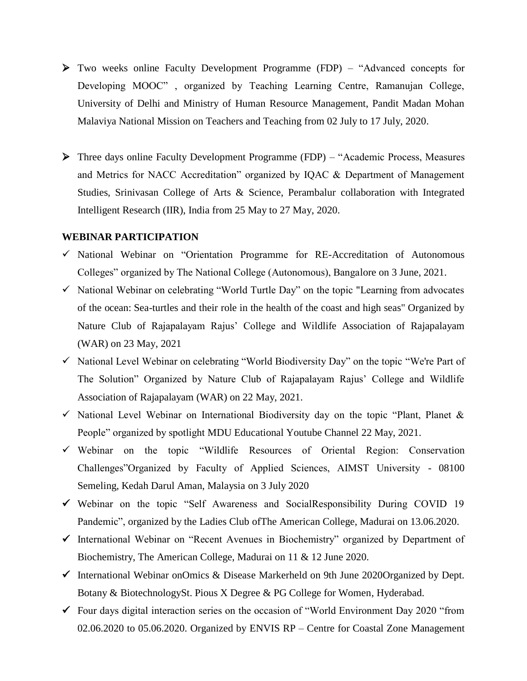- Two weeks online Faculty Development Programme (FDP) "Advanced concepts for Developing MOOC" , organized by Teaching Learning Centre, Ramanujan College, University of Delhi and Ministry of Human Resource Management, Pandit Madan Mohan Malaviya National Mission on Teachers and Teaching from 02 July to 17 July, 2020.
- Three days online Faculty Development Programme (FDP) "Academic Process, Measures and Metrics for NACC Accreditation" organized by IQAC & Department of Management Studies, Srinivasan College of Arts & Science, Perambalur collaboration with Integrated Intelligent Research (IIR), India from 25 May to 27 May, 2020.

#### **WEBINAR PARTICIPATION**

- $\checkmark$  National Webinar on "Orientation Programme for RE-Accreditation of Autonomous Colleges" organized by The National College (Autonomous), Bangalore on 3 June, 2021.
- $\checkmark$  National Webinar on celebrating "World Turtle Day" on the topic "Learning from advocates" of the ocean: Sea-turtles and their role in the health of the coast and high seas" Organized by Nature Club of Rajapalayam Rajus" College and Wildlife Association of Rajapalayam (WAR) on 23 May, 2021
- $\checkmark$  National Level Webinar on celebrating "World Biodiversity Day" on the topic "We're Part of The Solution" Organized by Nature Club of Rajapalayam Rajus' College and Wildlife Association of Rajapalayam (WAR) on 22 May, 2021.
- $\checkmark$  National Level Webinar on International Biodiversity day on the topic "Plant, Planet & People" organized by spotlight MDU Educational Youtube Channel 22 May, 2021.
- $\checkmark$  Webinar on the topic "Wildlife Resources of Oriental Region: Conservation Challenges"Organized by Faculty of Applied Sciences, AIMST University - 08100 Semeling, Kedah Darul Aman, Malaysia on 3 July 2020
- Webinar on the topic "Self Awareness and SocialResponsibility During COVID 19 Pandemic", organized by the Ladies Club ofThe American College, Madurai on 13.06.2020.
- $\checkmark$  International Webinar on "Recent Avenues in Biochemistry" organized by Department of Biochemistry, The American College, Madurai on 11 & 12 June 2020.
- $\checkmark$  International Webinar onOmics & Disease Markerheld on 9th June 2020Organized by Dept. Botany & BiotechnologySt. Pious X Degree & PG College for Women, Hyderabad.
- $\checkmark$  Four days digital interaction series on the occasion of "World Environment Day 2020 "from 02.06.2020 to 05.06.2020. Organized by ENVIS RP – Centre for Coastal Zone Management